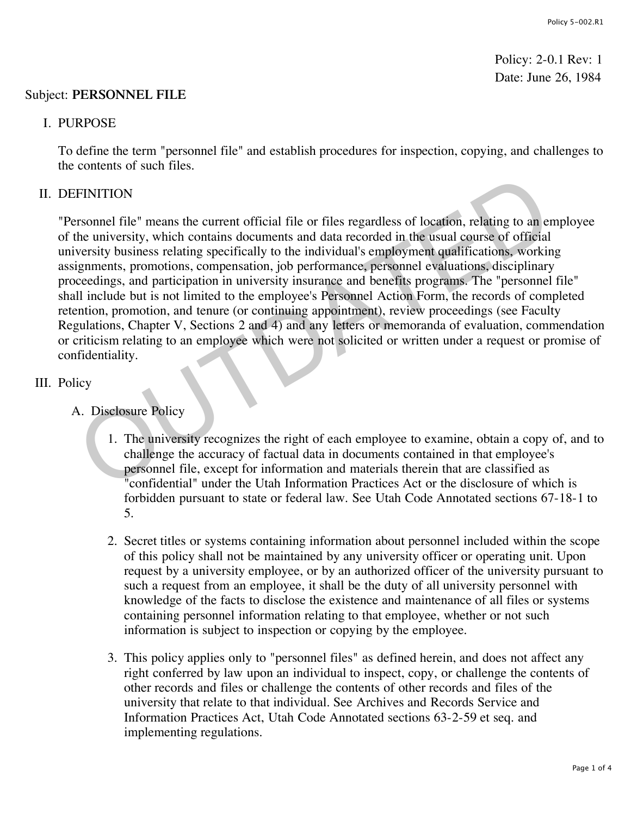Policy: 2-0.1 Rev: 1 Date: June 26, 1984

## Subject: **PERSONNEL FILE**

## I. PURPOSE

To define the term "personnel file" and establish procedures for inspection, copying, and challenges to the contents of such files.

## II. DEFINITION

"Personnel file" means the current official file or files regardless of location, relating to an employee of the university, which contains documents and data recorded in the usual course of official university business relating specifically to the individual's employment qualifications, working assignments, promotions, compensation, job performance, personnel evaluations, disciplinary proceedings, and participation in university insurance and benefits programs. The "personnel file" shall include but is not limited to the employee's Personnel Action Form, the records of completed retention, promotion, and tenure (or continuing appointment), review proceedings (see Faculty Regulations, Chapter V, Sections 2 and 4) and any letters or memoranda of evaluation, commendation or criticism relating to an employee which were not solicited or written under a request or promise of confidentiality. FINITION<br>
IFINITION<br>
IFINITION<br>
IFINITION<br>
IFINITION<br>
ITENTION<br>
ITENTION<br>
ITENTION<br>
ITENTION<br>
ITENTION: UNITENTION<br>
ITENTION: UNITENTION: UNITENTION: UNITENTION: UNITENTION: UNITENTION: UNITENTION: NORTHIS<br>
ITENTION: UNITE

# III. Policy

- A. Disclosure Policy
	- 1. The university recognizes the right of each employee to examine, obtain a copy of, and to challenge the accuracy of factual data in documents contained in that employee's personnel file, except for information and materials therein that are classified as "confidential" under the Utah Information Practices Act or the disclosure of which is forbidden pursuant to state or federal law. See Utah Code Annotated sections 67-18-1 to 5.
	- 2. Secret titles or systems containing information about personnel included within the scope of this policy shall not be maintained by any university officer or operating unit. Upon request by a university employee, or by an authorized officer of the university pursuant to such a request from an employee, it shall be the duty of all university personnel with knowledge of the facts to disclose the existence and maintenance of all files or systems containing personnel information relating to that employee, whether or not such information is subject to inspection or copying by the employee.
	- 3. This policy applies only to "personnel files" as defined herein, and does not affect any right conferred by law upon an individual to inspect, copy, or challenge the contents of other records and files or challenge the contents of other records and files of the university that relate to that individual. See Archives and Records Service and Information Practices Act, Utah Code Annotated sections 63-2-59 et seq. and implementing regulations.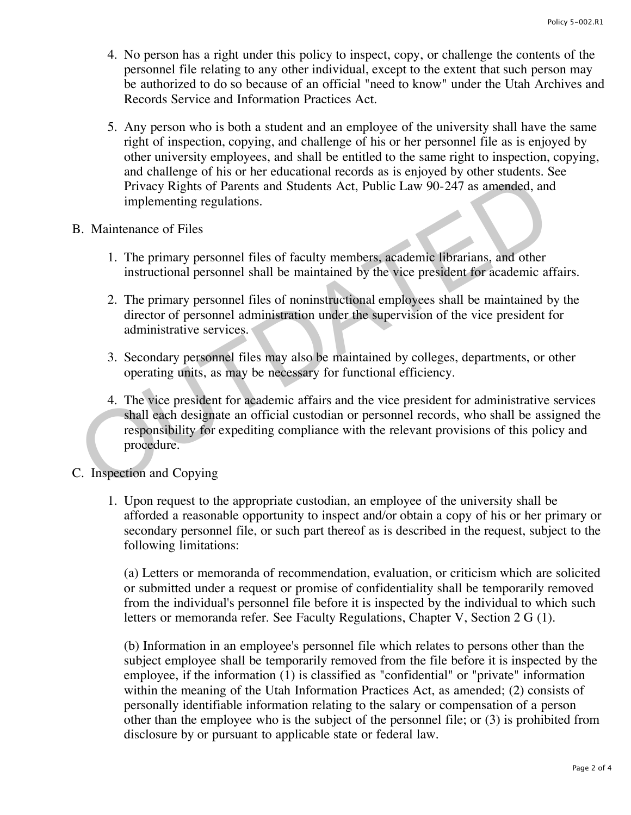- 4. No person has a right under this policy to inspect, copy, or challenge the contents of the personnel file relating to any other individual, except to the extent that such person may be authorized to do so because of an official "need to know" under the Utah Archives and Records Service and Information Practices Act.
- 5. Any person who is both a student and an employee of the university shall have the same right of inspection, copying, and challenge of his or her personnel file as is enjoyed by other university employees, and shall be entitled to the same right to inspection, copying, and challenge of his or her educational records as is enjoyed by other students. See Privacy Rights of Parents and Students Act, Public Law 90-247 as amended, and implementing regulations.

#### B. Maintenance of Files

- 1. The primary personnel files of faculty members, academic librarians, and other instructional personnel shall be maintained by the vice president for academic affairs.
- 2. The primary personnel files of noninstructional employees shall be maintained by the director of personnel administration under the supervision of the vice president for administrative services.
- 3. Secondary personnel files may also be maintained by colleges, departments, or other operating units, as may be necessary for functional efficiency.
- 4. The vice president for academic affairs and the vice president for administrative services shall each designate an official custodian or personnel records, who shall be assigned the responsibility for expediting compliance with the relevant provisions of this policy and procedure. Privacy Rights of Parents and Students Act, Public Law 90-247 as amended, and<br>
Privacy Rights of Parents and Students Act, Public Law 90-247 as amended, and<br>
implementing regulations.<br>
3. Maintenance of Files<br>
1. The prima
- C. Inspection and Copying
	- 1. Upon request to the appropriate custodian, an employee of the university shall be afforded a reasonable opportunity to inspect and/or obtain a copy of his or her primary or secondary personnel file, or such part thereof as is described in the request, subject to the following limitations:

(a) Letters or memoranda of recommendation, evaluation, or criticism which are solicited or submitted under a request or promise of confidentiality shall be temporarily removed from the individual's personnel file before it is inspected by the individual to which such letters or memoranda refer. See Faculty Regulations, Chapter V, Section 2 G (1).

(b) Information in an employee's personnel file which relates to persons other than the subject employee shall be temporarily removed from the file before it is inspected by the employee, if the information (1) is classified as "confidential" or "private" information within the meaning of the Utah Information Practices Act, as amended; (2) consists of personally identifiable information relating to the salary or compensation of a person other than the employee who is the subject of the personnel file; or (3) is prohibited from disclosure by or pursuant to applicable state or federal law.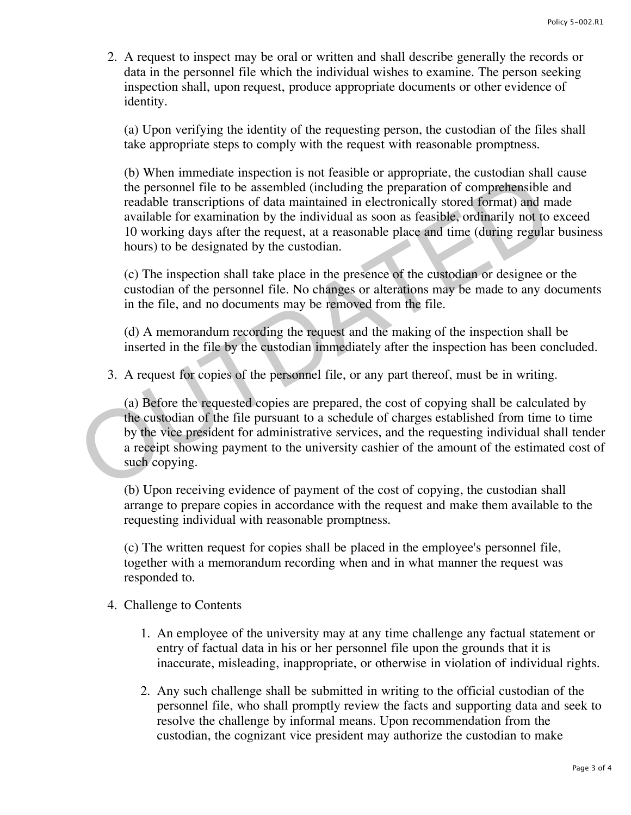2. A request to inspect may be oral or written and shall describe generally the records or data in the personnel file which the individual wishes to examine. The person seeking inspection shall, upon request, produce appropriate documents or other evidence of identity.

(a) Upon verifying the identity of the requesting person, the custodian of the files shall take appropriate steps to comply with the request with reasonable promptness.

(b) When immediate inspection is not feasible or appropriate, the custodian shall cause the personnel file to be assembled (including the preparation of comprehensible and readable transcriptions of data maintained in electronically stored format) and made available for examination by the individual as soon as feasible, ordinarily not to exceed 10 working days after the request, at a reasonable place and time (during regular business hours) to be designated by the custodian. (b) Then *immediate* impediate in a not ideatable the personnel file to be assembled (including the preparation of comprehensible readable transcriptions of data maintained in electronically stored format) and m available

(c) The inspection shall take place in the presence of the custodian or designee or the custodian of the personnel file. No changes or alterations may be made to any documents in the file, and no documents may be removed from the file.

(d) A memorandum recording the request and the making of the inspection shall be inserted in the file by the custodian immediately after the inspection has been concluded.

3. A request for copies of the personnel file, or any part thereof, must be in writing.

(a) Before the requested copies are prepared, the cost of copying shall be calculated by the custodian of the file pursuant to a schedule of charges established from time to time by the vice president for administrative services, and the requesting individual shall tender a receipt showing payment to the university cashier of the amount of the estimated cost of such copying.

(b) Upon receiving evidence of payment of the cost of copying, the custodian shall arrange to prepare copies in accordance with the request and make them available to the requesting individual with reasonable promptness.

(c) The written request for copies shall be placed in the employee's personnel file, together with a memorandum recording when and in what manner the request was responded to.

- 4. Challenge to Contents
	- 1. An employee of the university may at any time challenge any factual statement or entry of factual data in his or her personnel file upon the grounds that it is inaccurate, misleading, inappropriate, or otherwise in violation of individual rights.
	- 2. Any such challenge shall be submitted in writing to the official custodian of the personnel file, who shall promptly review the facts and supporting data and seek to resolve the challenge by informal means. Upon recommendation from the custodian, the cognizant vice president may authorize the custodian to make